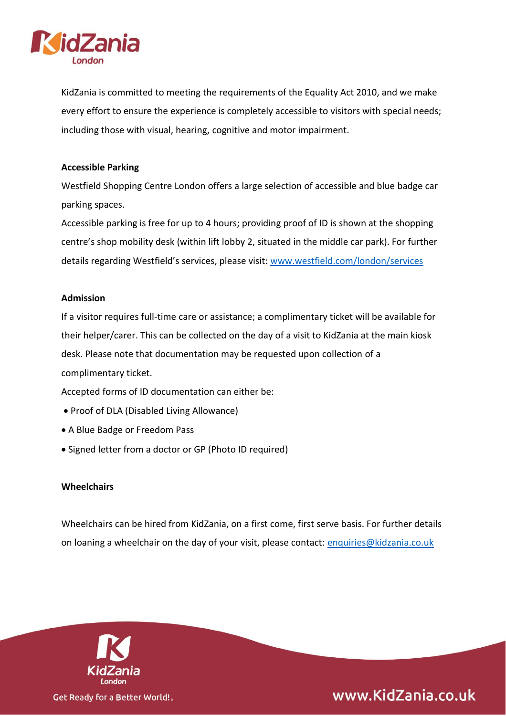

KidZania is committed to meeting the requirements of the Equality Act 2010, and we make every effort to ensure the experience is completely accessible to visitors with special needs; including those with visual, hearing, cognitive and motor impairment.

### **Accessible Parking**

Westfield Shopping Centre London offers a large selection of accessible and blue badge car parking spaces.

Accessible parking is free for up to 4 hours; providing proof of ID is shown at the shopping centre's shop mobility desk (within lift lobby 2, situated in the middle car park). For further details regarding Westfield's services, please visit: [www.westfield.com/london/services](http://www.westfield.com/london/services)

# **Admission**

If a visitor requires full-time care or assistance; a complimentary ticket will be available for their helper/carer. This can be collected on the day of a visit to KidZania at the main kiosk desk. Please note that documentation may be requested upon collection of a complimentary ticket.

Accepted forms of ID documentation can either be:

- Proof of DLA (Disabled Living Allowance)
- A Blue Badge or Freedom Pass
- Signed letter from a doctor or GP (Photo ID required)

#### **Wheelchairs**

Wheelchairs can be hired from KidZania, on a first come, first serve basis. For further details on loaning a wheelchair on the day of your visit, please contact: [enquiries@kidzania.co.uk](mailto:enquiries@kidzania.co.uk)



www.KidZania.co.uk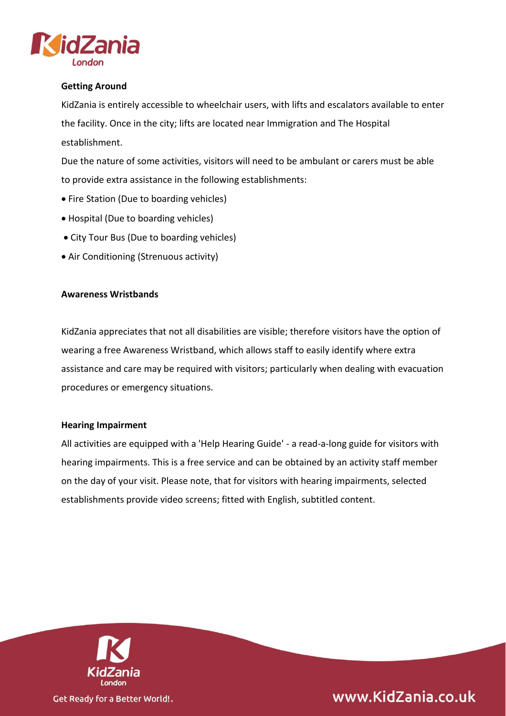

# **Getting Around**

KidZania is entirely accessible to wheelchair users, with lifts and escalators available to enter the facility. Once in the city; lifts are located near Immigration and The Hospital establishment.

Due the nature of some activities, visitors will need to be ambulant or carers must be able to provide extra assistance in the following establishments:

- Fire Station (Due to boarding vehicles)
- Hospital (Due to boarding vehicles)
- City Tour Bus (Due to boarding vehicles)
- Air Conditioning (Strenuous activity)

#### **Awareness Wristbands**

KidZania appreciates that not all disabilities are visible; therefore visitors have the option of wearing a free Awareness Wristband, which allows staff to easily identify where extra assistance and care may be required with visitors; particularly when dealing with evacuation procedures or emergency situations.

#### **Hearing Impairment**

All activities are equipped with a 'Help Hearing Guide' - a read-a-long guide for visitors with hearing impairments. This is a free service and can be obtained by an activity staff member on the day of your visit. Please note, that for visitors with hearing impairments, selected establishments provide video screens; fitted with English, subtitled content.



www.KidZania.co.uk